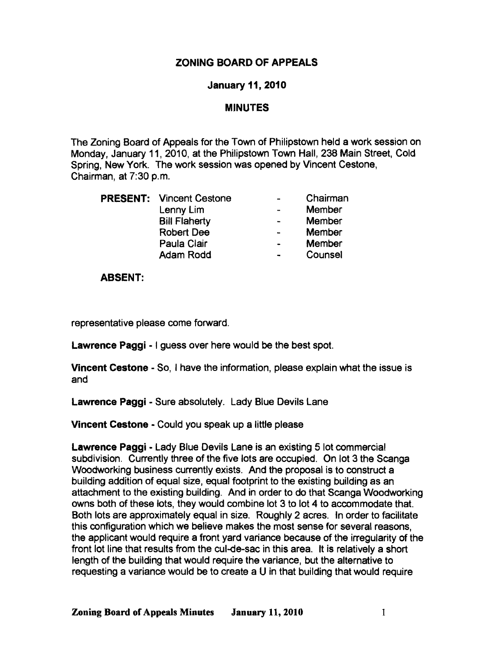# ZONING BOARD OF APPEALS

## January 11, 2010

## **MINUTES**

The Zoning Board of Appeals for the Town of Philipstown held a work session on Monday, January 11, 2010, at the Philipstown Town Hall, 238 Main Street, Cold Spring, New York. The work session was opened by Vincent Cestone, Chairman, at 7:30 p.m.

|  | <b>PRESENT:</b> Vincent Cestone | $\overline{\phantom{0}}$ | Chairman      |
|--|---------------------------------|--------------------------|---------------|
|  | Lenny Lim                       |                          | Member        |
|  | <b>Bill Flaherty</b>            | $\blacksquare$           | <b>Member</b> |
|  | <b>Robert Dee</b>               | $\blacksquare$           | Member        |
|  | Paula Clair                     | $\bullet$                | <b>Member</b> |
|  | <b>Adam Rodd</b>                | $\blacksquare$           | Counsel       |

#### ABSENT:

representative please come forward.

Lawrence Paggi - I guess over here would be the best spot.

Vincent Cestone - So, I have the information, please explain what the issue is and

Lawrence Paggi - Sure absolutely. Lady Blue Devils lane

Vincent Cestone • Could you speak up a little please

Lawrence Paggi - Lady Blue Devils Lane is an existing 5 lot commercial subdivision. Currently three of the five lots are occupied. On lot 3 the Scanga Woodworking business currently exists. And the proposal is to construct a building addition of equal size, equal footprint to the existing building as an attachment to the existing building. And in order to do that Scanga Woodworking owns both of these lots, they would combine lot 3 to lot 4 to accommodate that. Both lots are approximately equal in size. Roughly 2 acres. In order to facilitate this configuration which we believe makes the most sense for several reasons, the applicant would require a front yard variance because of the irregularity of the front lot line that results from the cul-de-sac in this area. It is relatively a short length of the building that would require the variance, but the alternative to requesting a variance would be to create a U in that building that would require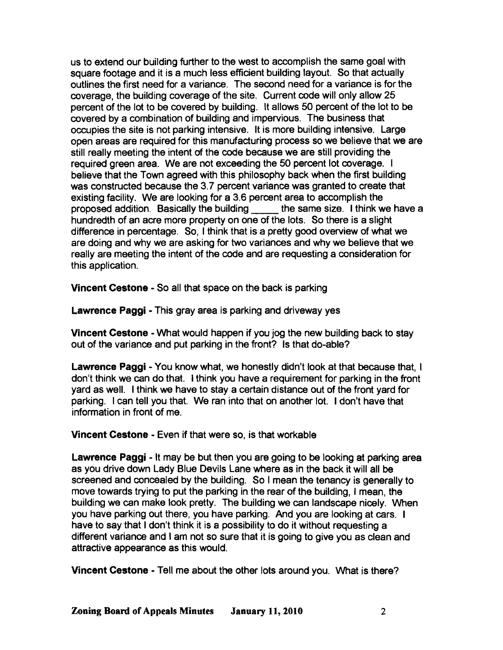us to extend our building further to the west to accomplish the same goal with square footage and it is a much less efficient building layout. So that actually outlines the first need for a variance. The second need for a variance is for the coverage, the building coverage of the site. Current code will only allow 25 percent of the lot to be covered by building. It allows 50 percent of the lot to be covered by a combination of building and impervious. The business that occupies the site is not parking intensive. It is more building intensive. Large open areas are required for this manufacturing process so we believe that we are still really meeting the intent of the code because we are still providing the required green area. We are not exceeding the 50 percent lot coverage. I believe that the Town agreed with this philosophy back when the first building was constructed because the 3.7 percent variance was granted to create that existing facility. We are looking for a 3.6 percent area to accomplish the proposed addition. Basically the building the same size. I think we have a hundredth of an acre more property on one of the lots. So there is a slight difference in percentage. So, I think that is a pretty good overview of what we are doing and why we are asking for two variances and why we believe that we really are meeting the intent of the code and are requesting a consideration for this application.

Vincent Cestone - So all that space on the back is parking

Lawrence Paggi - This gray area is parking and driveway yes

Vincent Cestone - What would happen if you jog the new building back to stay out of the variance and put parking in the front? Is that do-able?

Lawrence Paggi - You know what, we honestly didn't look at that because that, I don't think we can do that. I think you have a requirement for parking in the front yard as well. I think we have to stay a certain distance out of the front yard for parking. I can tell you that. We ran into that on another lot. I don't have that information in front of me.

Vincent Cestone - Even if that were so, is that workable

Lawrence Paggi - It may be but then you are going to be looking at parking area as you drive down Lady Blue Devils Lane where as in the back it will all be screened and concealed by the building. So I mean the tenancy is generally to move towards trying to put the parking in the rear of the building, I mean, the building we can make look pretty. The building we can landscape nicely. When you have parking out there, you have parking. And you are looking at cars. I have to say that I don't think it is a possibility to do it without requesting a different variance and I am not so sure that it is going to give you as clean and attractive appearance as this WOUld.

Vincent Cestone - Tell me about the other lots around you. What is there?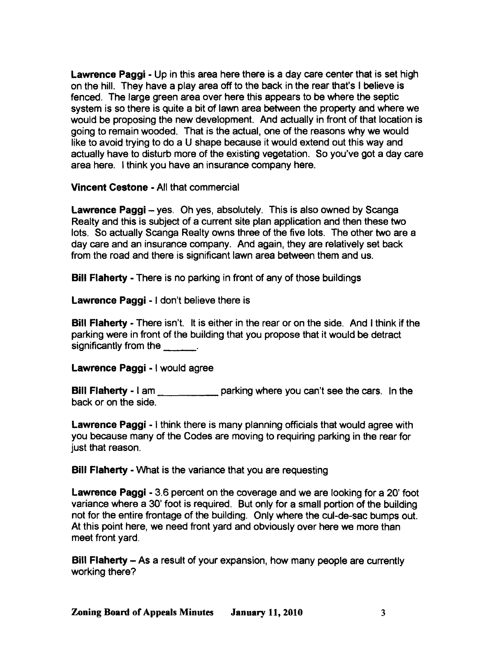Lawrence Paggi - Up in this area here there is a day care center that is set high on the hill. They have a play area off to the back in the rear that's I believe is fenced. The large green area over here this appears to be where the septic system is so there is quite a bit of lawn area between the property and where we would be proposing the new development. And actually in front of that location is going to remain wooded. That is the actual, one of the reasons why we would like to avoid trying to do a U shape because it would extend out this way and actually have to disturb more of the existing vegetation. So you've got a day care area here. I think you have an insurance company here.

Vincent Cestone - All that commercial

Lawrence Paggi - yes. Oh yes, absolutely. This is also owned by Scanga Realty and this is subject of a current site plan application and then these two lots. So actually Scanga Realty owns three of the five lots. The other two are a day care and an insurance company. And again, they are relatively set back from the road and there is significant lawn area between them and us.

Bill Flaherty - There is no parking in front of any of those buildings

Lawrence Paggi - I don't believe there is

Bill Flaherty - There isn't. It is either in the rear or on the side. And I think if the parking were in front of the building that you propose that it would be detract significantly from the  $\qquad \qquad$ .

Lawrence Paggi - I would agree

Bill Flaherty - I am parking where you can't see the cars. In the back or on the side.

Lawrence Paggi - I think there is many planning officials that would agree with you because many of the Codes are moving to requiring parking in the rear for just that reason.

Bill Flaherty - What is the variance that you are requesting

Lawrence Paggi - 3.6 percent on the coverage and we are looking for a 20' foot variance where a 30' foot is required. But only for a small portion of the building not for the entire frontage of the building. Only where the cul-de-sac bumps out. At this point here, we need front yard and obviously over here we more than meet front yard.

Bill Flaherty - As a result of your expansion, how many people are currently working there?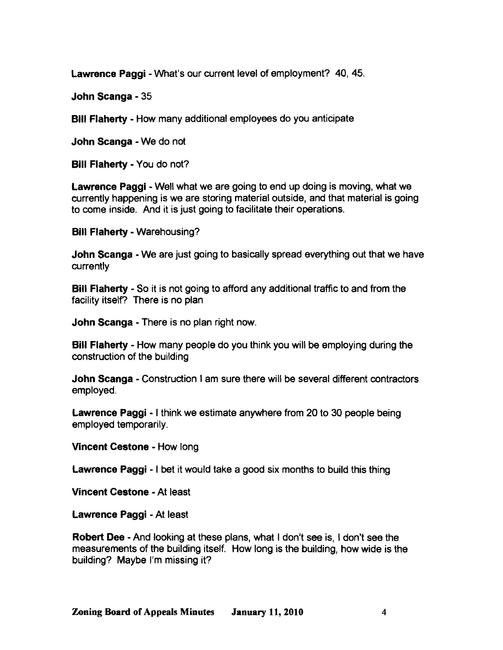Lawrence Paggi - What's our current level of employment? 40, 45.

John Scanga - 35

Bill Flaherty - How many additional employees do you anticipate

John Scanga - We do not

Bill Flaherty - You do not?

Lawrence Paggi - Well what we are going to end up doing is moving, what we currently happening is we are storing material outside, and that material is going to come inside. And it is just going to facilitate their operations.

Bill Flaherty - Warehousing?

John Scanga - We are just going to basically spread everything out that we have currently

Bill Flaherty - So it is not going to afford any additional traffic to and from the facility itself? There is no plan

John Scanga - There is no plan right now.

Bill Flaherty - How many people do you think you will be employing during the construction of the building

John Scanga - Construction I am sure there will be several different contractors employed.

Lawrence Paggi - I think we estimate anywhere from 20 to 30 people being employed temporarily.

Vincent Cestone - How long

Lawrence Paggi - I bet it would take a good six months to build this thing

Vincent Cestone - At least

Lawrence Paggi - At least

Robert Dee - And looking at these plans, what I don't see is, I don't see the measurements of the building itself. How long is the building, how wide is the building? Maybe I'm missing it?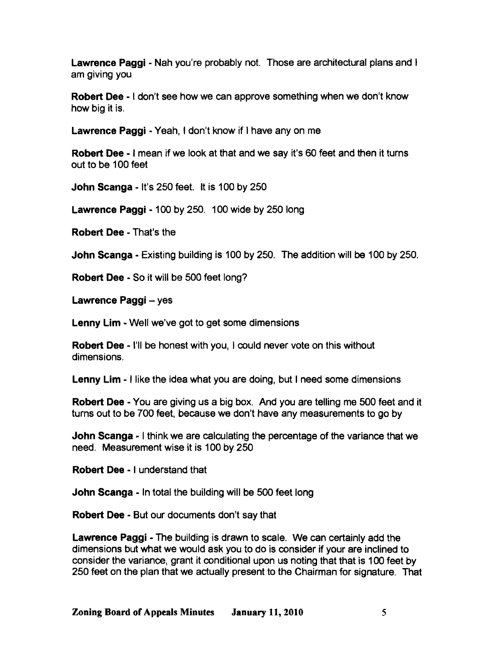Lawrence Paggi - Nah you're probably not. Those are architectural plans and I am giving you

Robert Dee - I don't see how we can approve something when we don't know how big it is.

Lawrence Paggi - Yeah, I don't know if I have any on me

Robert Dee - I mean if we look at that and we say it's 60 feet and then it turns out to be 100 feet

John Scanga - It's 250 feet. It is 100 by 250

Lawrence Paggi - 100 by 250. 100 wide by 250 long

Robert Dee - That's the

John Scanga - Existing building is 100 by 250. The addition will be 100 by 250.

Robert Dee - So it will be 500 feet long?

Lawrence Paggi - yes

Lenny Lim - Well we've got to get some dimensions

Robert Dee - I'll be honest with you, I could never vote on this without dimensions.

Lenny Lim - I like the idea what you are doing, but I need some dimensions

Robert Dee - You are giving us a big box. And you are telling me SOO feet and it turns out to be 700 feet, because we don't have any measurements to go by

**John Scanga** - I think we are calculating the percentage of the variance that we need. Measurement wise it is 100 by 250

Robert Dee - I understand that

John Scanga - In total the building will be 500 feet long

Robert Dee - But our documents don't say that

Lawrence Paggi - The building is drawn to scale. We can certainly add the dimensions but what we would ask you to do is consider if your are inclined to consider the variance, grant it conditional upon us noting that that is 100 feet by 250 feet on the plan that we actually present to the Chairman for signature. That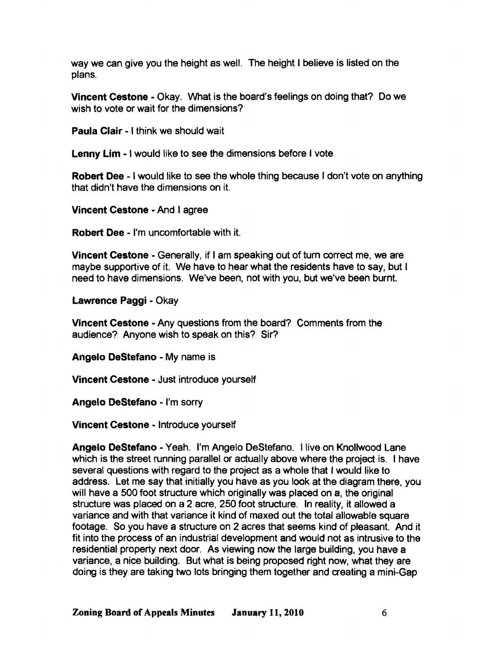way we can give you the height as well. The height I believe is listed on the plans.

Vincent Cestone - Okay. What is the board's feelings on doing that? Do we wish to vote or wait for the dimensions?

Paula Clair - I think we should wait

Lenny Lim - I would like to see the dimensions before I vote

Robert Dee - I would like to see the whole thing because I don't vote on anything that didn't have the dimensions on it.

Vincent Cestone - And I agree

Robert Dee - I'm uncomfortable with it.

Vincent Cestone - Generally, if I am speaking out of turn correct me, we are maybe supportive of it. We have to hear what the residents have to say, but I need to have dimensions. We've been, not with you, but we've been burnt.

Lawrence Paggi - Okay

Vincent Cestone - Any questions from the board? Comments from the audience? Anyone wish to speak on this? Sir?

Angelo DeStefano - My name is

Vincent Cestone - Just introduce yourself

Angelo DeStefano - I'm sorry

Vincent Cestone - Introduce yourself

Angelo DeStefano - Yeah. I'm Angelo DeStefano. I live on Knollwood Lane which is the street running parallel or actually above where the project is. I have several questions with regard to the project as a whole that I would like to address. Let me say that initially you have as you look at the diagram there, you will have a 500 foot structure which originally was placed on a, the original structure was placed on a 2 acre, 250 foot structure. In reality, it allowed a variance and with that variance it kind of maxed out the total allowable square footage. So you have a structure on 2 acres that seems kind of pleasant. And it fit into the process of an industrial development and would not as intrusive to the residential property next door. As viewing now the large building, you have a variance, a nice building. But what is being proposed right now, what they are doing is they are taking two lots bringing them together and creating a mini-Gap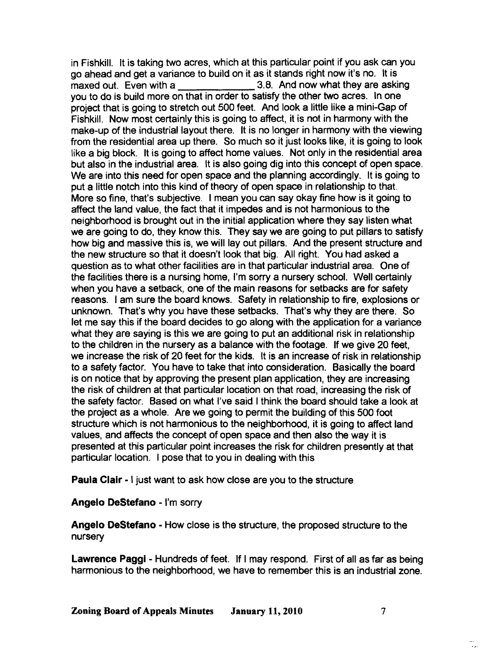in Fishkill. It is taking two acres, which at this particular point if you ask can you go ahead and get a variance to build on it as it stands right now it's no. It is maxed out. Even with a 3.8. And now what they are asking you to do is build more on that in order to satisfy the other two acres. In one project that is going to stretch out 500 feet. And look a little like a mini-Gap of Fishkill. Now most certainly this is going to affect, it is not in harmony with the make-up of the industrial layout there. It is no longer in harmony with the viewing from the residential area up there. So much so it just looks like, it is going to look like a big block. It is going to affect home values. Not only in the residential area but also in the industrial area. It is also going dig into this concept of open space. We are into this need for open space and the planning accordingly. It is going to put a little notch into this kind of theory of open space in relationship to that. More so fine, that's subjective. I mean you can say okay fine how is it going to affect the land value, the fact that it impedes and is not harmonious to the neighborhood is brought out in the initial application where they say listen what we are going to do, they know this. They say we are going to put pillars to satisfy how big and massive this is, we will lay out pillars. And the present structure and the new structure so that it doesn't look that big. All right. You had asked a question as to what other facilities are in that particular industrial area. One of the facilities there is a nursing home, I'm sorry a nursery school. Well certainly when you have a setback, one of the main reasons for setbacks are for safety reasons. I am sure the board knows. Safety in relationship to fire, explosions or unknown. That's why you have these setbacks. That's why they are there. So let me say this if the board decides to go along with the application for a variance what they are saying is this we are going to put an additional risk in relationship to the children in the nursery as a balance with the footage. If we give 20 feet, we increase the risk of 20 feet for the kids. It is an increase of risk in relationship to a safety factor. You have to take that into consideration. Basically the board is on notice that by approving the present plan application, they are increasing the risk of children at that particular location on that road, increasing the risk of the safety factor. Based on what I've said I think the board should take a look at the project as a whole. Are we going to permit the building of this 500 foot structure which is not harmonious to the neighborhood, it is going to affect land values, and affects the concept of open space and then also the way it is presented at this particular point increases the risk for children presently at that particular location. I pose that to you in dealing with this

Paula Clair - I just want to ask how close are you to the structure

#### Angelo DeStefano - I'm sorry

Angelo DeStefano - How close is the structure, the proposed structure to the nursery

Lawrence Paggi - Hundreds of feet. If I may respond. First of all as far as being harmonious to the neighborhood, we have to remember this is an industrial zone.

 $\ddotsc$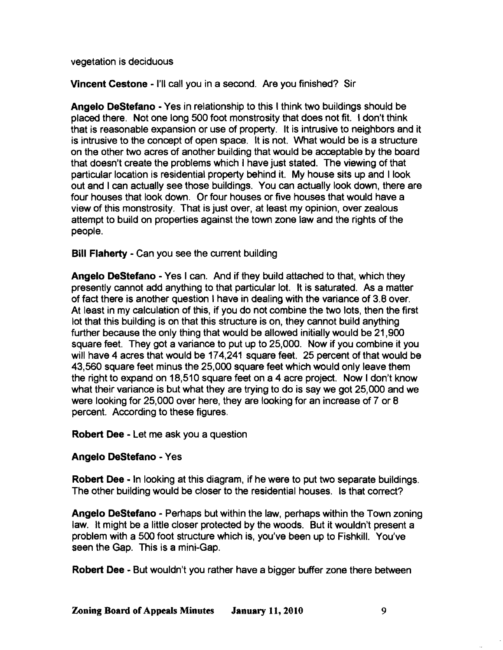vegetation is deciduous

Vincent Cestone -I'll call you in a second. Are you finished? Sir

Angelo DeStefano - Yes in relationship to this I think two buildings should be placed there. Not one long 500 foot monstrosity that does not fit. 'don't think that is reasonable expansion or use of property. It is intrusive to neighbors and it is intrusive to the concept of open space. It is not. What would be is a structure on the other two acres of another building that would be acceptable by the board that doesn't create the problems which I have just stated. The viewing of that particular location is residential property behind it. My house sits up and I look out and I can actually see those buildings. You can actually look down, there are four houses that look down. Or four houses or five houses that would have a view of this monstrosity. That is just over, at least my opinion, over zealous attempt to build on properties against the town zone law and the rights of the people.

Bill Flaherty - Can you see the current building

Angelo DeStefano - Yes I can. And if they build attached to that, which they presently cannot add anything to that particular lot. It is saturated. As a matter of fact there is another question I have in dealing with the variance of 3.8 over. At least in my calculation of this, if you do not combine the two lots, then the first lot that this building is on that this structure is on, they cannot build anything further because the only thing that would be allowed initially would be 21,900 square feet. They got a variance to put up to 25,000. Now if you combine it you will have 4 acres that would be 174,241 square feet. 25 percent of that would be 43,560 square feet minus the 25,000 square feet which would only leave them the right to expand on 18,510 square feet on a 4 acre project. Now I don't know what their variance is but what they are trying to do is say we got 25,000 and we were looking for 25,000 over here, they are looking for an increase of 7 or 8 percent. According to these figures.

Robert Dee - Let me ask you a question

## Angelo DeStefano - Yes

Robert Dee - In looking at this diagram, if he were to put two separate buildings. The other building would be closer to the residential houses. Is that correct?

Angelo DeStefano - Perhaps but within the law, perhaps within the Town zoning law. It might be a little closer protected by the woods. But it wouldn't present a problem with a 500 foot structure which is, you've been up to Fishkill. You've seen the Gap. This is a mini-Gap.

Robert Dee - But wouldn't you rather have a bigger buffer zone there between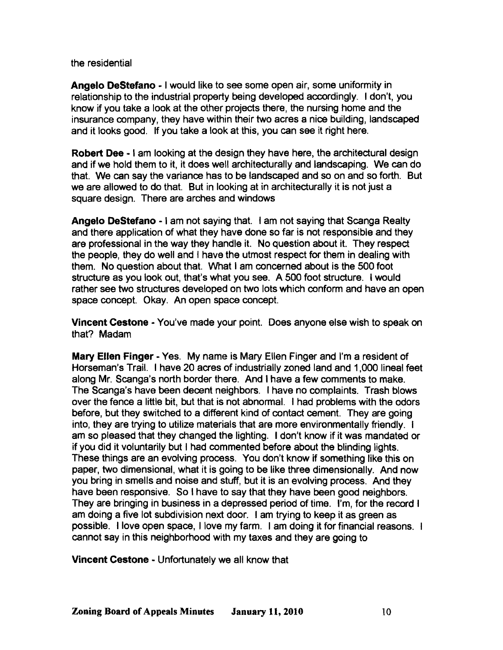the residential

Angelo DeStefano· I would like to see some open air, some uniformity in relationship to the industrial property being developed accordingly. I don't, you know if you take a look at the other projects there, the nursing home and the insurance company, they have within their two acres a nice building, landscaped and it looks good. If you take a look at this, you can see it right here.

Robert Dee· I am looking at the design they have here, the architectural design and if we hold them to it, it does well architecturally and landscaping. We can do that. We can say the variance has to be landscaped and so on and so forth. But we are allowed to do that. But in looking at in architecturally it is not just a square design. There are arches and windows

Angelo DeStefano - I am not saying that. I am not saying that Scanga Realty and there application of what they have done so far is not responsible and they are professional in the way they handle it. No question about it. They respect the people, they do well and I have the utmost respect for them in dealing with them. No question about that. What I am concerned about is the 500 foot structure as you look out, that's what you see. A 500 foot structure. I would rather see two structures developed on two lots which conform and have an open space concept. Okay. An open space concept.

Vincent Cestone • You've made your point. Does anyone else wish to speak on that? Madam

Mary Ellen Finger· Yes. My name is Mary Ellen Finger and I'm a resident of Horseman's Trail. I have 20 *aaes* of industrially zoned land and 1,000 lineal feet along Mr. Scanga's north border there. And I have a few comments to make. The Scanga's have been decent neighbors. I have no complaints. Trash blows over the fence a little bit, but that is not abnormal. I had problems with the odors before, but they switched to a different kind of contact cement. They are going into, they are trying to utilize materials that are more environmentally friendly. I am so pleased that they changed the lighting. I don't know if it was mandated or if you did it voluntarily but I had commented before about the blinding lights. These things are an evolving process. You don't know if something like this on paper, two dimensional, what it is going to be like three dimensionally. And now you bring in smells and noise and stuff, but it is an evolving process. And they have been responsive. So I have to say that they have been good neighbors. They are bringing in business in a depressed period of time. I'm, for the record I am doing a five lot subdivision next door. I am trying to keep it as green as possible. I love open space, I love my farm. I am doing it for financial reasons. cannot say in this neighborhood with my taxes and they are going to

Vincent Cestone • Unfortunately we all know that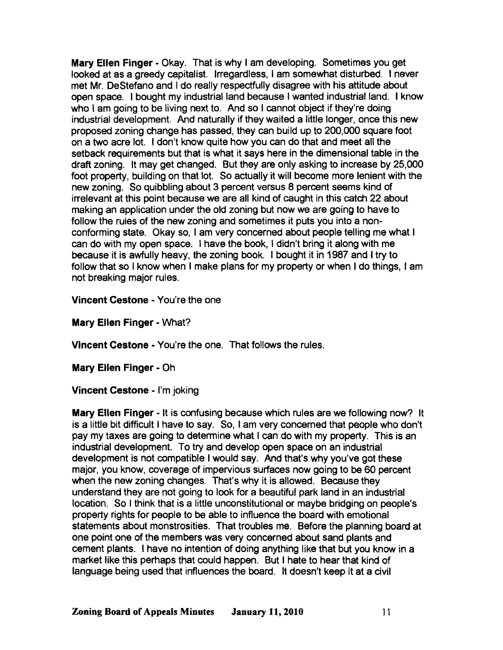Mary Ellen Finger - Okay. That is why I am developing. Sometimes you get looked at as a greedy capitalist. Irregardless, I am somewhat disturbed. I never met Mr. DeStefano and I do really respectfully disagree with his attitude about open space. I bought my industrial land because I wanted industrial land. I know who I am going to be living next to. And so I cannot object if they're doing industrial development. And naturally if they waited a little longer, once this new proposed zoning change has passed, they can build up to 200,000 square foot on a two acre lot. I don't know quite how you can do that and meet all the setback requirements but that is what it says here in the dimensional table in the draft zoning. It may get changed. But they are only asking to increase by 25,000 foot property, building on that lot. So actually it will become more lenient with the new zoning. So quibbling about 3 percent versus 8 percent seems kind of irrelevant at this point because we are all kind of caught in this catch 22 about making an application under the old zoning but now we are going to have to follow the rules of the new zoning and sometimes it puts you into a nonconforming state. Okay so, I am very concerned about people telling me what I can do with my open space. I have the book, I didn't bring it along with me because it is awfully heavy, the zoning book. I bought it in 1987 and I try to follow that so I know when I make plans for my property or when I do things, I am not breaking major rules.

Vincent Cestone - You're the one

Mary Ellen Finger· What?

Vincent Cestone - You're the one. That follows the rules.

Mary Ellen Finger· Oh

Vincent Cestone - I'm joking

Mary Ellen Finger· It is confusing because which rules are we following now? It is a little bit difficult I have to say. So, I am very concerned that people who don't pay my taxes are going to determine what I can do with my property. This is an industrial development. To try and develop open space on an industrial development is not compatible I would say. And that's why you've got these major, you know, coverage of impervious surfaces now going to be 60 percent when the new zoning changes. That's why it is allowed. Because they understand they are not going to look for a beautiful park land in an industrial location. So I think that is a little unconstitutional or maybe bridging on people's property rights for people to be able to influence the board with emotional statements about monstrosities. That troubles me. Before the planning board at one point one of the members was very concerned about sand plants and cement plants. I have no intention of doing anything like that but you know in a market like this perhaps that could happen. But I hate to hear that kind of language being used that influences the board. It doesn't keep it at a civil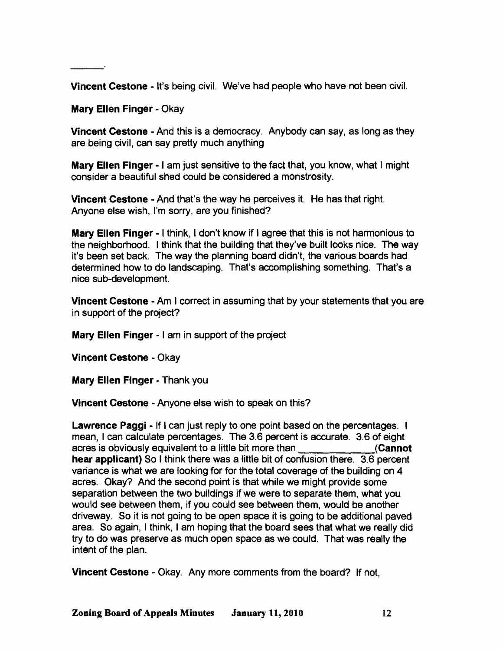Vincent Cestone - It's being civil. We've had people who have not been civil.

Mary Ellen Finger· Okay

Vincent Cestone - And this is a democracy. Anybody can say, as long as they are being civil, can say pretty much anything

Mary Ellen Finger - I am just sensitive to the fact that, you know, what I might consider a beautiful shed could be considered a monstrosity.

Vincent Cestone • And that's the way he perceives it. He has that right. Anyone else wish, I'm sorry, are you finished?

Mary Ellen Finger - I think, I don't know if I agree that this is not harmonious to the neighborhood. I think that the building that they've built looks nice. The way it's been set back. The way the planning board didn't, the various boards had determined how to do landscaping. That's accomplishing something. That's a nice sub-development.

Vincent Cestone - Am I correct in assuming that by your statements that you are in support of the project?

Mary Ellen Finger - I am in support of the project

Vincent Cestone • Okay

Mary Ellen Finger - Thank you

Vincent Cestone • Anyone else wish to speak on this?

Lawrence Paggi - If I can just reply to one point based on the percentages. I mean, I can calculate percentages. The 3.6 percent is accurate. 3.6 of eight acres is obviously equivalent to a little bit more than (Cannot hear applicant) So I think there was a little bit of confusion there. 3.6 percent variance is what we are looking for for the total coverage of the building on 4 acres. Okay? And the second point is that while we might provide some separation between the two buildings if we were to separate them, what you would see between them, if you could see between them, would be another driveway. So it is not going to be open space it is going to be additional paved area. So again, I think, I am hoping that the board sees that what we really did try to do was preserve as much open space as we COUld. That was really the intent of the plan.

Vincent Cestone • Okay. Any more comments from the board? If not,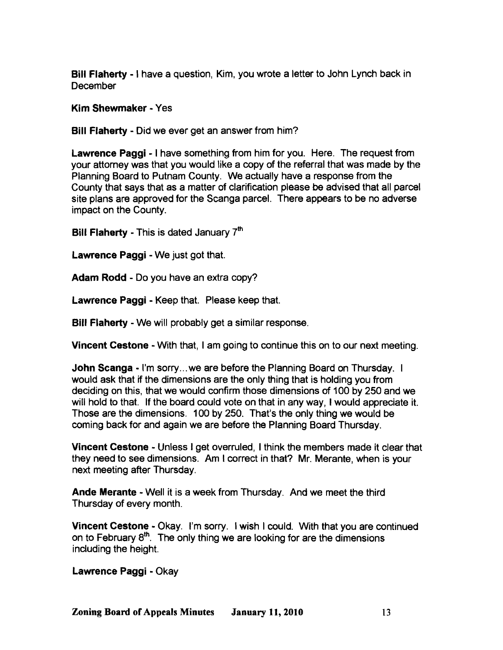Bill Flaherty - I have a question, Kim, you wrote a letter to John Lynch back in December

Kim Shewmaker - Yes

Bill Flaherty - Did we ever get an answer from him?

Lawrence Paggi - I have something from him for you. Here. The request from your attorney was that you would like a copy of the referral that was made by the Planning Board to Putnam County. We actually have a response from the County that says that as a matter of clarification please be advised that all parcel site plans are approved for the Scanga parcel. There appears to be no adverse impact on the County.

Bill Flaherty - This is dated January  $7<sup>th</sup>$ 

Lawrence Paggi - We just got that.

Adam Rodd - Do you have an extra copy?

Lawrence Paggi - Keep that. Please keep that.

Bill Flaherty - We will probably get a similar response.

Vincent Cestone - With that, I am going to continue this on to our next meeting.

John Scanga - I'm sorry... we are before the Planning Board on Thursday. I would ask that if the dimensions are the only thing that is holding you from deciding on this, that we would confirm those dimensions of 100 by 250 and we will hold to that. If the board could vote on that in any way, I would appreciate it. Those are the dimensions. 100 by 250. That's the only thing we would be coming back for and again we are before the Planning Board Thursday.

Vincent Cestone - Unless I get overruled, I think the members made it clear that they need to see dimensions. Am' correct in that? Mr. Merante, when is your next meeting after Thursday.

Ande Merante - Well it is a week from Thursday. And we meet the third Thursday of every month.

Vincent Cestone - Okay. I'm sorry. I wish I could. With that you are continued on to February  $8<sup>th</sup>$ . The only thing we are looking for are the dimensions including the height.

Lawrence Paggi - Okay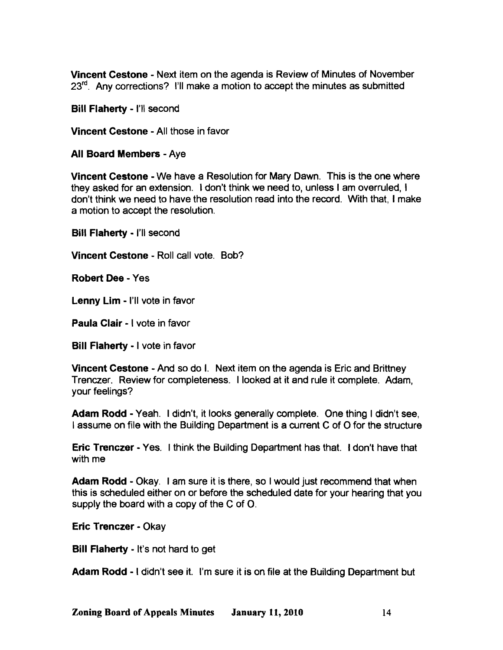Vincent Cestone - Next item on the agenda is Review of Minutes of November 23<sup>rd</sup>. Any corrections? I'll make a motion to accept the minutes as submitted

Bill Flaherty - I'll second

Vincent Cestone - All those in favor

All Board Members - Aye

Vincent Cestone - We have a Resolution for Mary Dawn. This is the one where they asked for an extension. 1don't think we need to, unless I am overruled, I don't think we need to have the resolution read into the record. With that, I make a motion to accept the resolution.

Bill Flaherty - I'll second

Vincent Cestone - Roll call vote. Bob?

Robert Dee - Yes

Lenny Lim - I'll vote in favor

Paula Clair - I vote in favor

Bill Flaherty - I vote in favor

Vincent Cestone - And so do I. Next item on the agenda is Eric and Brittney Trenczer. Review for completeness. I looked at it and rule it complete. Adam, your feelings?

Adam Rodd - Yeah. I didn't, it looks generally complete. One thing I didn't see, I assume on file with the Building Department is a current C of 0 for the structure

Eric Trenczer - Yes. I think the Building Department has that. I don't have that with me

Adam Rodd - Okay. I am sure it is there, so I would just recommend that when this is scheduled either on or before the scheduled date for your hearing that you supply the board with a copy of the C of O.

Eric Trenczer - Okay

Bill Flaherty - It's not hard to get

Adam Rodd - I didn't see it. I'm sure it is on file at the Building Department but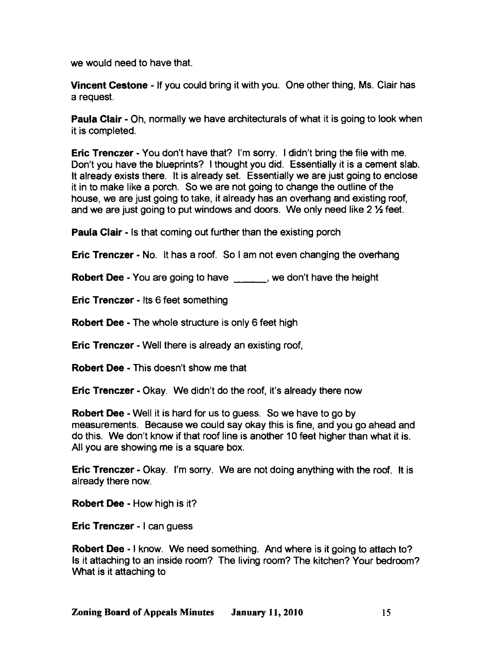we would need to have that.

Vincent Cestone - If you could bring it with you. One other thing, Ms. Clair has a request.

Paula Clair - Oh, normally we have architecturals of what it is going to look when it is completed.

Eric Trenczer· You don't have that? I'm sorry. I didn't bring the file with me. Don't you have the blueprints? I thought you did. Essentially it is a cement slab. It already exists there. It is already set. Essentially we are just going to enclose it in to make like a porch. So we are not going to change the outline of the house, we are just going to take, it already has an overhang and existing roof, and we are just going to put windows and doors. We only need like 2 1/2 feet.

**Paula Clair - Is that coming out further than the existing porch** 

**Eric Trenczer - No.** It has a roof. So I am not even changing the overhang

Robert Dee - You are going to have we don't have the height

Eric Trenczer - Its 6 feet something

Robert Dee· The whole structure is only 6 feet high

**Eric Trenczer - Well there is already an existing roof,** 

Robert Dee - This doesn't show me that

**Eric Trenczer - Okay. We didn't do the roof, it's already there now** 

**Robert Dee - Well it is hard for us to guess. So we have to go by** measurements. Because we could say okay this is fine, and you go ahead and do this. We don't know if that roof line is another 10 feet higher than what it is. All you are showing me is a square box.

Eric Trenczer· Okay. I'm sorry. We are not doing anything with the roof. It is already there now.

Robert Dee - How high is it?

Eric Trenczer - I can guess

Robert Dee - I know. We need something. And where is it going to attach to? Is it attaching to an inside room? The living room? The kitchen? Your bedroom? What is it attaching to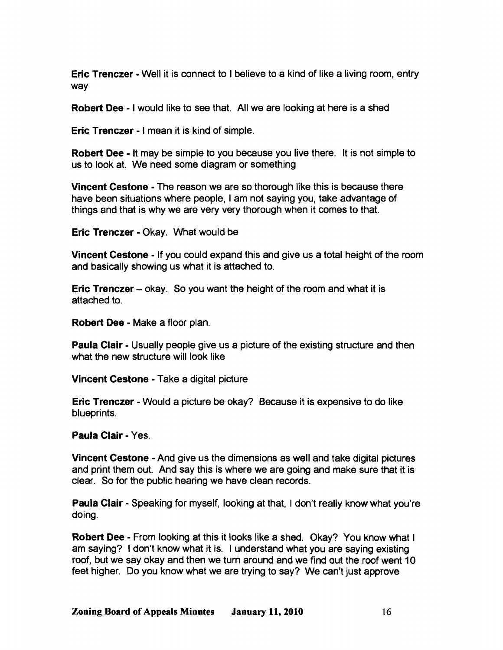Eric Trenczer - Well it is connect to I believe to a kind of like a living room, entry way

Robert Dee - I would like to see that. All we are looking at here is a shed

Eric Trenczer - I mean it is kind of simple.

Robert Dee - It may be simple to you because you live there. It is not simple to us to look at. We need some diagram or something

Vincent Cestone - The reason we are so thorough like this is because there have been situations where people, I am not saying you, take advantage of things and that is why we are very very thorough when it comes to that.

Eric Trenczer - Okay. What would be

Vincent Cestone - If you could expand this and give us a total height of the room and basically showing us what it is attached to.

**Eric Trenczer** – okay. So you want the height of the room and what it is attached to.

Robert Dee - Make a floor plan.

Paula Clair - Usually people give us a picture of the existing structure and then what the new structure will look like

Vincent Cestone - Take a digital picture

Eric Trenczer - Would a picture be okay? Because it is expensive to do like blueprints.

Paula Clair - Yes.

Vincent Cestone - And give us the dimensions as well and take digital pictures and print them out. And say this is where we are going and make sure that it is clear. So for the public hearing we have clean records.

Paula Clair - Speaking for myself, looking at that, I don't really know what you're doing.

Robert Dee - From looking at this it looks like a shed. Okay? You know what I am saying? I don't know what it is. I understand what you are saying existing roof, but we say okay and then we turn around and we find out the roof went 10 feet higher. Do you know what we are trying to say? We can't just approve